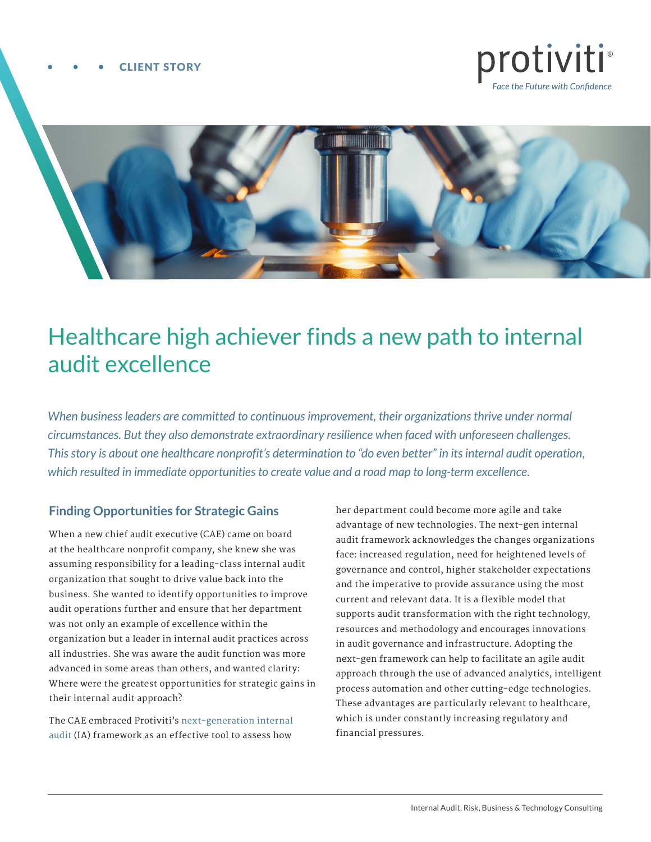#### CLIENT STORY





# Healthcare high achiever finds a new path to internal audit excellence

*When business leaders are committed to continuous improvement, their organizations thrive under normal circumstances. But they also demonstrate extraordinary resilience when faced with unforeseen challenges. This story is about one healthcare nonprofit's determination to "do even better" in its internal audit operation, which resulted in immediate opportunities to create value and a road map to long-term excellence.*

# **Finding Opportunities for Strategic Gains**

When a new chief audit executive (CAE) came on board at the healthcare nonprofit company, she knew she was assuming responsibility for a leading-class internal audit organization that sought to drive value back into the business. She wanted to identify opportunities to improve audit operations further and ensure that her department was not only an example of excellence within the organization but a leader in internal audit practices across all industries. She was aware the audit function was more advanced in some areas than others, and wanted clarity: Where were the greatest opportunities for strategic gains in their internal audit approach?

The CAE embraced Protiviti's [next-generation](https://www.protiviti.com/US-en/insights/next-generation-internal-auditing) [internal](https://www.protiviti.com/US-en/insights/next-generation-internal-auditing)  [audit \(](https://www.protiviti.com/US-en/insights/next-generation-internal-auditing)IA) framework as an effective tool to assess how

her department could become more agile and take advantage of new technologies. The next-gen internal audit framework acknowledges the changes organizations face: increased regulation, need for heightened levels of governance and control, higher stakeholder expectations and the imperative to provide assurance using the most current and relevant data. It is a flexible model that supports audit transformation with the right technology, resources and methodology and encourages innovations in audit governance and infrastructure. Adopting the next-gen framework can help to facilitate an agile audit approach through the use of advanced analytics, intelligent process automation and other cutting-edge technologies. These advantages are particularly relevant to healthcare, which is under constantly increasing regulatory and financial pressures.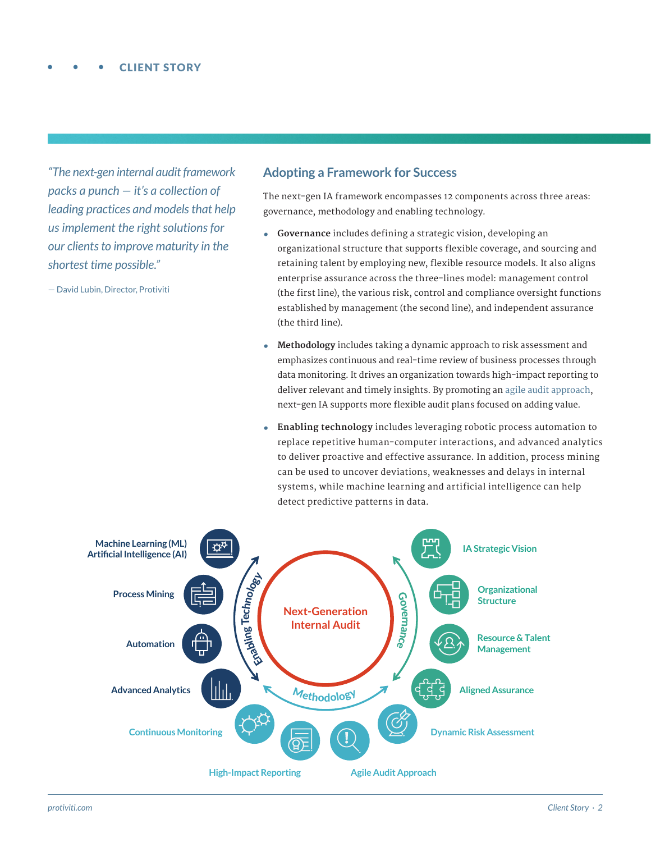*"The next-gen internal audit framework packs a punch — it's a collection of leading practices and models that help us implement the right solutions for our clients to improve maturity in the shortest time possible."*

— David Lubin, Director, Protiviti

## **Adopting a Framework for Success**

The next-gen IA framework encompasses 12 components across three areas: governance, methodology and enabling technology.

- **• Governance** includes defining a strategic vision, developing an organizational structure that supports flexible coverage, and sourcing and retaining talent by employing new, flexible resource models. It also aligns enterprise assurance across the three-lines model: management control (the first line), the various risk, control and compliance oversight functions established by management (the second line), and independent assurance (the third line).
- **• Methodology** includes taking a dynamic approach to risk assessment and emphasizes continuous and real-time review of business processes through data monitoring. It drives an organization towards high-impact reporting to deliver relevant and timely insights. By promoting an [agile audit approach](https://blog.protiviti.com/2020/01/16/next-gen-internal-audit-what-do-we-mean-when-we-talk-about-agile-audit/), next-gen IA supports more flexible audit plans focused on adding value.
- **• Enabling technology** includes leveraging robotic process automation to replace repetitive human-computer interactions, and advanced analytics to deliver proactive and effective assurance. In addition, process mining can be used to uncover deviations, weaknesses and delays in internal systems, while machine learning and artificial intelligence can help detect predictive patterns in data.

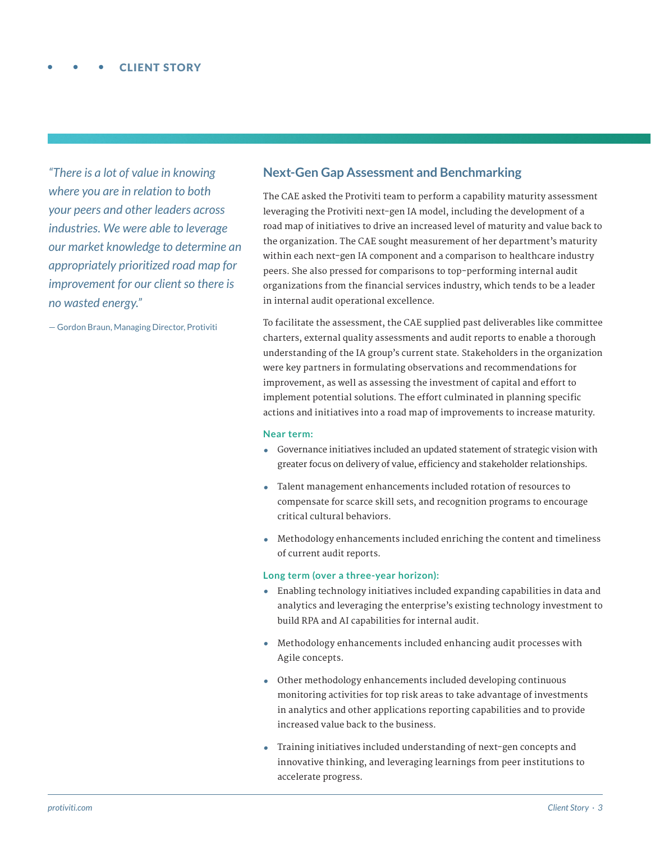*"There is a lot of value in knowing where you are in relation to both your peers and other leaders across industries. We were able to leverage our market knowledge to determine an appropriately prioritized road map for improvement for our client so there is no wasted energy."* 

— Gordon Braun, Managing Director, Protiviti

## **Next-Gen Gap Assessment and Benchmarking**

The CAE asked the Protiviti team to perform a capability maturity assessment leveraging the Protiviti next-gen IA model, including the development of a road map of initiatives to drive an increased level of maturity and value back to the organization. The CAE sought measurement of her department's maturity within each next-gen IA component and a comparison to healthcare industry peers. She also pressed for comparisons to top-performing internal audit organizations from the financial services industry, which tends to be a leader in internal audit operational excellence.

To facilitate the assessment, the CAE supplied past deliverables like committee charters, external quality assessments and audit reports to enable a thorough understanding of the IA group's current state. Stakeholders in the organization were key partners in formulating observations and recommendations for improvement, as well as assessing the investment of capital and effort to implement potential solutions. The effort culminated in planning specific actions and initiatives into a road map of improvements to increase maturity.

#### **Near term:**

- **•** Governance initiatives included an updated statement of strategic vision with greater focus on delivery of value, efficiency and stakeholder relationships.
- **•** Talent management enhancements included rotation of resources to compensate for scarce skill sets, and recognition programs to encourage critical cultural behaviors.
- **•** Methodology enhancements included enriching the content and timeliness of current audit reports.

#### **Long term (over a three-year horizon):**

- **•** Enabling technology initiatives included expanding capabilities in data and analytics and leveraging the enterprise's existing technology investment to build RPA and AI capabilities for internal audit.
- **•** Methodology enhancements included enhancing audit processes with Agile concepts.
- **•** Other methodology enhancements included developing continuous monitoring activities for top risk areas to take advantage of investments in analytics and other applications reporting capabilities and to provide increased value back to the business.
- **•** Training initiatives included understanding of next-gen concepts and innovative thinking, and leveraging learnings from peer institutions to accelerate progress.